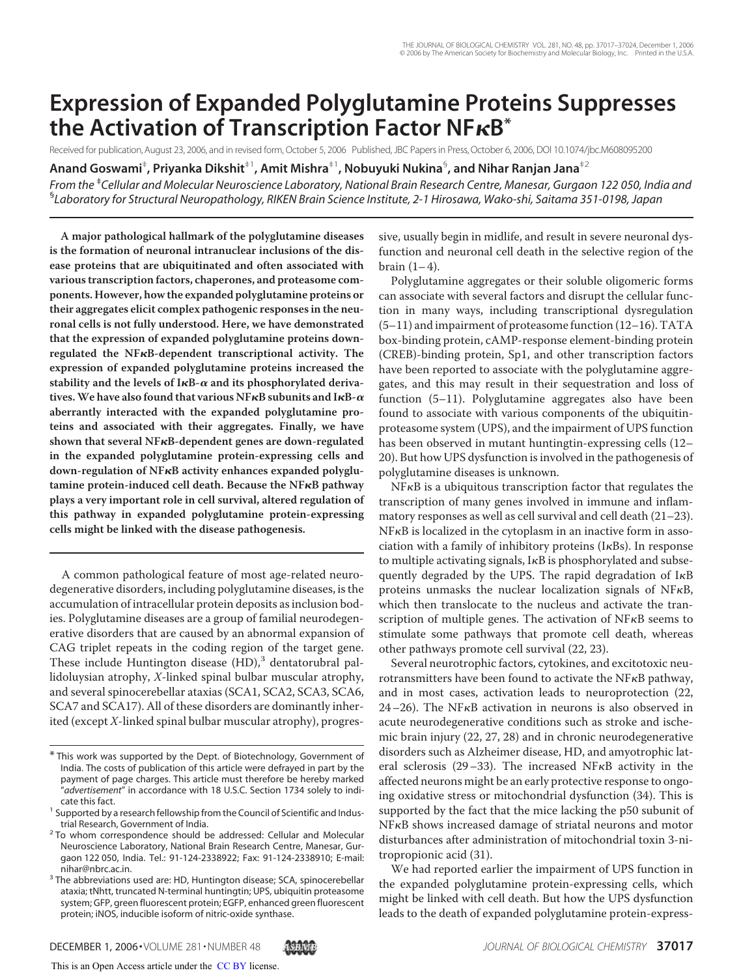# **Expression of Expanded Polyglutamine Proteins Suppresses the Activation of Transcription Factor NFB\***

Received for publication, August 23, 2006, and in revised form, October 5, 2006 Published, JBC Papers in Press, October 6, 2006, DOI 10.1074/jbc.M608095200

**Anand Goswami**‡ **, Priyanka Dikshit**‡1**, Amit Mishra**‡1**, Nobuyuki Nukina**§ **, and Nihar Ranjan Jana**‡2

*From the* ‡ *Cellular and Molecular Neuroscience Laboratory, National Brain Research Centre, Manesar, Gurgaon 122 050, India and* § *Laboratory for Structural Neuropathology, RIKEN Brain Science Institute, 2-1 Hirosawa, Wako-shi, Saitama 351-0198, Japan*

**A major pathological hallmark of the polyglutamine diseases is the formation of neuronal intranuclear inclusions of the disease proteins that are ubiquitinated and often associated with various transcription factors, chaperones, and proteasome components. However, how the expanded polyglutamine proteins or their aggregates elicit complex pathogenic responses in the neuronal cells is not fully understood. Here, we have demonstrated that the expression of expanded polyglutamine proteins downregulated the NFB-dependent transcriptional activity. The expression of expanded polyglutamine proteins increased the** stability and the levels of  $I \kappa B$ - $\alpha$  and its phosphorylated deriva**tives.We have also found that various NFB subunits and IB- aberrantly interacted with the expanded polyglutamine proteins and associated with their aggregates. Finally, we have shown that several NFB-dependent genes are down-regulated in the expanded polyglutamine protein-expressing cells and down-regulation of NFB activity enhances expanded polyglutamine protein-induced cell death. Because the NFB pathway plays a very important role in cell survival, altered regulation of this pathway in expanded polyglutamine protein-expressing cells might be linked with the disease pathogenesis.**

A common pathological feature of most age-related neurodegenerative disorders, including polyglutamine diseases, is the accumulation of intracellular protein deposits as inclusion bodies. Polyglutamine diseases are a group of familial neurodegenerative disorders that are caused by an abnormal expansion of CAG triplet repeats in the coding region of the target gene. These include Huntington disease (HD),<sup>3</sup> dentatorubral pallidoluysian atrophy, X-linked spinal bulbar muscular atrophy, and several spinocerebellar ataxias (SCA1, SCA2, SCA3, SCA6, SCA7 and SCA17). All of these disorders are dominantly inherited (except X-linked spinal bulbar muscular atrophy), progressive, usually begin in midlife, and result in severe neuronal dysfunction and neuronal cell death in the selective region of the brain  $(1-4)$ .

Polyglutamine aggregates or their soluble oligomeric forms can associate with several factors and disrupt the cellular function in many ways, including transcriptional dysregulation (5–11) and impairment of proteasome function (12–16). TATA box-binding protein, cAMP-response element-binding protein (CREB)-binding protein, Sp1, and other transcription factors have been reported to associate with the polyglutamine aggregates, and this may result in their sequestration and loss of function (5–11). Polyglutamine aggregates also have been found to associate with various components of the ubiquitinproteasome system (UPS), and the impairment of UPS function has been observed in mutant huntingtin-expressing cells (12– 20). But how UPS dysfunction is involved in the pathogenesis of polyglutamine diseases is unknown.

 $NFKB$  is a ubiquitous transcription factor that regulates the transcription of many genes involved in immune and inflammatory responses as well as cell survival and cell death (21–23). NFKB is localized in the cytoplasm in an inactive form in association with a family of inhibitory proteins ( $I \kappa Bs$ ). In response to multiple activating signals,  $I \kappa B$  is phosphorylated and subsequently degraded by the UPS. The rapid degradation of  $I\kappa B$ proteins unmasks the nuclear localization signals of  $NFKB$ , which then translocate to the nucleus and activate the transcription of multiple genes. The activation of  $NFRB$  seems to stimulate some pathways that promote cell death, whereas other pathways promote cell survival (22, 23).

Several neurotrophic factors, cytokines, and excitotoxic neurotransmitters have been found to activate the NFKB pathway, and in most cases, activation leads to neuroprotection (22,  $24-26$ ). The NF $\kappa$ B activation in neurons is also observed in acute neurodegenerative conditions such as stroke and ischemic brain injury (22, 27, 28) and in chronic neurodegenerative disorders such as Alzheimer disease, HD, and amyotrophic lateral sclerosis (29–33). The increased NF $\kappa$ B activity in the affected neurons might be an early protective response to ongoing oxidative stress or mitochondrial dysfunction (34). This is supported by the fact that the mice lacking the p50 subunit of NF<sub>K</sub>B shows increased damage of striatal neurons and motor disturbances after administration of mitochondrial toxin 3-nitropropionic acid (31).

We had reported earlier the impairment of UPS function in the expanded polyglutamine protein-expressing cells, which might be linked with cell death. But how the UPS dysfunction leads to the death of expanded polyglutamine protein-express-

<sup>\*</sup> This work was supported by the Dept. of Biotechnology, Government of India. The costs of publication of this article were defrayed in part by the payment of page charges. This article must therefore be hereby marked "*advertisement*" in accordance with 18 U.S.C. Section 1734 solely to indicate this fact.

<sup>&</sup>lt;sup>1</sup> Supported by a research fellowship from the Council of Scientific and Industrial Research, Government of India.

<sup>&</sup>lt;sup>2</sup> To whom correspondence should be addressed: Cellular and Molecular Neuroscience Laboratory, National Brain Research Centre, Manesar, Gurgaon 122 050, India. Tel.: 91-124-2338922; Fax: 91-124-2338910; E-mail: nihar@nbrc.ac.in.

<sup>&</sup>lt;sup>3</sup> The abbreviations used are: HD, Huntington disease; SCA, spinocerebellar ataxia; tNhtt, truncated N-terminal huntingtin; UPS, ubiquitin proteasome system; GFP, green fluorescent protein; EGFP, enhanced green fluorescent protein; iNOS, inducible isoform of nitric-oxide synthase.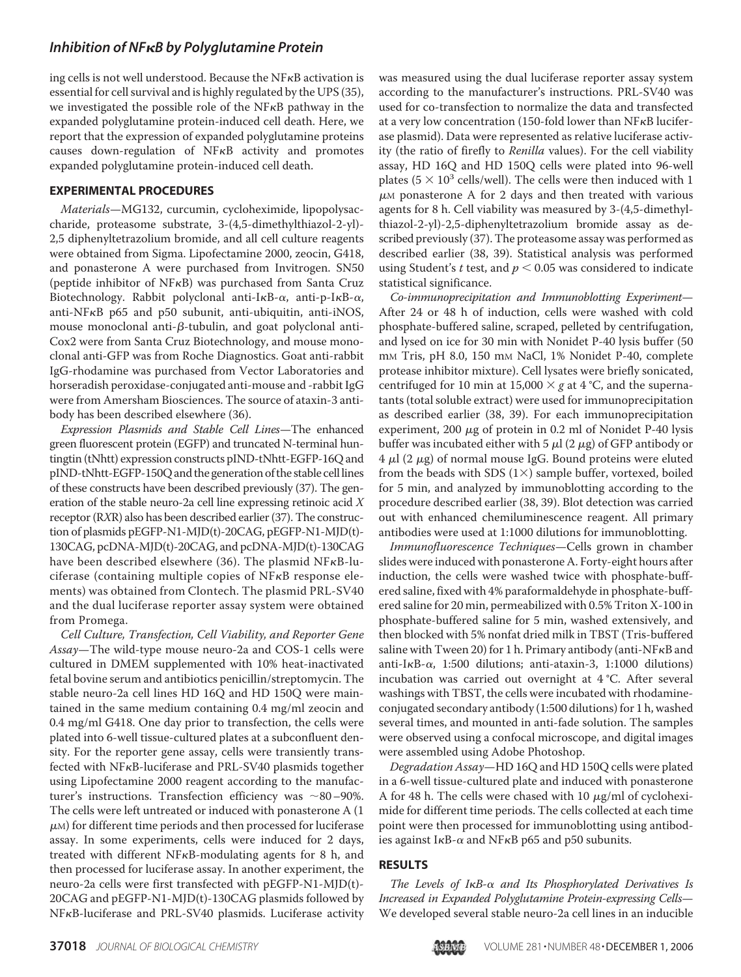ing cells is not well understood. Because the  $NFKB$  activation is essential for cell survival and is highly regulated by the UPS (35), we investigated the possible role of the  $NFKB$  pathway in the expanded polyglutamine protein-induced cell death. Here, we report that the expression of expanded polyglutamine proteins causes down-regulation of  $NFRB$  activity and promotes expanded polyglutamine protein-induced cell death.

#### **EXPERIMENTAL PROCEDURES**

Materials—MG132, curcumin, cycloheximide, lipopolysaccharide, proteasome substrate, 3-(4,5-dimethylthiazol-2-yl)- 2,5 diphenyltetrazolium bromide, and all cell culture reagents were obtained from Sigma. Lipofectamine 2000, zeocin, G418, and ponasterone A were purchased from Invitrogen. SN50 (peptide inhibitor of  $NFRB$ ) was purchased from Santa Cruz Biotechnology. Rabbit polyclonal anti-I $\kappa$ B- $\alpha$ , anti-p-I $\kappa$ B- $\alpha$ , anti-NF<sub>K</sub>B p65 and p50 subunit, anti-ubiquitin, anti-iNOS, mouse monoclonal anti- $\beta$ -tubulin, and goat polyclonal anti-Cox2 were from Santa Cruz Biotechnology, and mouse monoclonal anti-GFP was from Roche Diagnostics. Goat anti-rabbit IgG-rhodamine was purchased from Vector Laboratories and horseradish peroxidase-conjugated anti-mouse and -rabbit IgG were from Amersham Biosciences. The source of ataxin-3 antibody has been described elsewhere (36).

Expression Plasmids and Stable Cell Lines—The enhanced green fluorescent protein (EGFP) and truncated N-terminal huntingtin (tNhtt) expression constructs pIND-tNhtt-EGFP-16Q and pIND-tNhtt-EGFP-150Q and the generation of the stable celllines of these constructs have been described previously (37). The generation of the stable neuro-2a cell line expressing retinoic acid X receptor (RXR) also has been described earlier (37). The construction of plasmids pEGFP-N1-MJD(t)-20CAG, pEGFP-N1-MJD(t)- 130CAG, pcDNA-MJD(t)-20CAG, and pcDNA-MJD(t)-130CAG have been described elsewhere (36). The plasmid NF $\kappa$ B-lu $c$ iferase (containing multiple copies of NF $\kappa$ B response elements) was obtained from Clontech. The plasmid PRL-SV40 and the dual luciferase reporter assay system were obtained from Promega.

Cell Culture, Transfection, Cell Viability, and Reporter Gene Assay—The wild-type mouse neuro-2a and COS-1 cells were cultured in DMEM supplemented with 10% heat-inactivated fetal bovine serum and antibiotics penicillin/streptomycin. The stable neuro-2a cell lines HD 16Q and HD 150Q were maintained in the same medium containing 0.4 mg/ml zeocin and 0.4 mg/ml G418. One day prior to transfection, the cells were plated into 6-well tissue-cultured plates at a subconfluent density. For the reporter gene assay, cells were transiently transfected with NFKB-luciferase and PRL-SV40 plasmids together using Lipofectamine 2000 reagent according to the manufacturer's instructions. Transfection efficiency was  $\sim 80-90\%$ . The cells were left untreated or induced with ponasterone A (1  $\mu$ <sub>M</sub>) for different time periods and then processed for luciferase assay. In some experiments, cells were induced for 2 days, treated with different  $NFKB$ -modulating agents for 8 h, and then processed for luciferase assay. In another experiment, the neuro-2a cells were first transfected with pEGFP-N1-MJD(t)- 20CAG and pEGFP-N1-MJD(t)-130CAG plasmids followed by NF<sub>K</sub>B-luciferase and PRL-SV40 plasmids. Luciferase activity

was measured using the dual luciferase reporter assay system according to the manufacturer's instructions. PRL-SV40 was used for co-transfection to normalize the data and transfected at a very low concentration (150-fold lower than  $N F<sub>K</sub>B$  luciferase plasmid). Data were represented as relative luciferase activity (the ratio of firefly to Renilla values). For the cell viability assay, HD 16Q and HD 150Q cells were plated into 96-well plates ( $5 \times 10^3$  cells/well). The cells were then induced with 1  $\mu$ M ponasterone A for 2 days and then treated with various agents for 8 h. Cell viability was measured by 3-(4,5-dimethylthiazol-2-yl)-2,5-diphenyltetrazolium bromide assay as described previously (37). The proteasome assay was performed as described earlier (38, 39). Statistical analysis was performed using Student's t test, and  $p < 0.05$  was considered to indicate statistical significance.

Co-immunoprecipitation and Immunoblotting Experiment— After 24 or 48 h of induction, cells were washed with cold phosphate-buffered saline, scraped, pelleted by centrifugation, and lysed on ice for 30 min with Nonidet P-40 lysis buffer (50 mM Tris, pH 8.0, 150 mM NaCl, 1% Nonidet P-40, complete protease inhibitor mixture). Cell lysates were briefly sonicated, centrifuged for 10 min at 15,000  $\times$  g at 4 °C, and the supernatants (total soluble extract) were used for immunoprecipitation as described earlier (38, 39). For each immunoprecipitation experiment, 200  $\mu$ g of protein in 0.2 ml of Nonidet P-40 lysis buffer was incubated either with 5  $\mu$ l (2  $\mu$ g) of GFP antibody or  $4 \mu$ l (2  $\mu$ g) of normal mouse IgG. Bound proteins were eluted from the beads with SDS  $(1\times)$  sample buffer, vortexed, boiled for 5 min, and analyzed by immunoblotting according to the procedure described earlier (38, 39). Blot detection was carried out with enhanced chemiluminescence reagent. All primary antibodies were used at 1:1000 dilutions for immunoblotting.

Immunofluorescence Techniques—Cells grown in chamber slides were induced with ponasterone A. Forty-eight hours after induction, the cells were washed twice with phosphate-buffered saline, fixed with 4% paraformaldehyde in phosphate-buffered saline for 20 min, permeabilized with 0.5% Triton X-100 in phosphate-buffered saline for 5 min, washed extensively, and then blocked with 5% nonfat dried milk in TBST (Tris-buffered saline with Tween 20) for 1 h. Primary antibody (anti-NF $\kappa$ B and  $anti-I\kappa B-\alpha$ , 1:500 dilutions; anti-ataxin-3, 1:1000 dilutions) incubation was carried out overnight at 4 °C. After several washings with TBST, the cells were incubated with rhodamineconjugated secondary antibody (1:500 dilutions) for 1 h, washed several times, and mounted in anti-fade solution. The samples were observed using a confocal microscope, and digital images were assembled using Adobe Photoshop.

Degradation Assay—HD 16Q and HD 150Q cells were plated in a 6-well tissue-cultured plate and induced with ponasterone A for 48 h. The cells were chased with 10  $\mu$ g/ml of cycloheximide for different time periods. The cells collected at each time point were then processed for immunoblotting using antibodies against I $\kappa$ B- $\alpha$  and NF $\kappa$ B p65 and p50 subunits.

#### **RESULTS**

The Levels of  $I$ <sub>K</sub>B- $\alpha$  and Its Phosphorylated Derivatives Is Increased in Expanded Polyglutamine Protein-expressing Cells— We developed several stable neuro-2a cell lines in an inducible

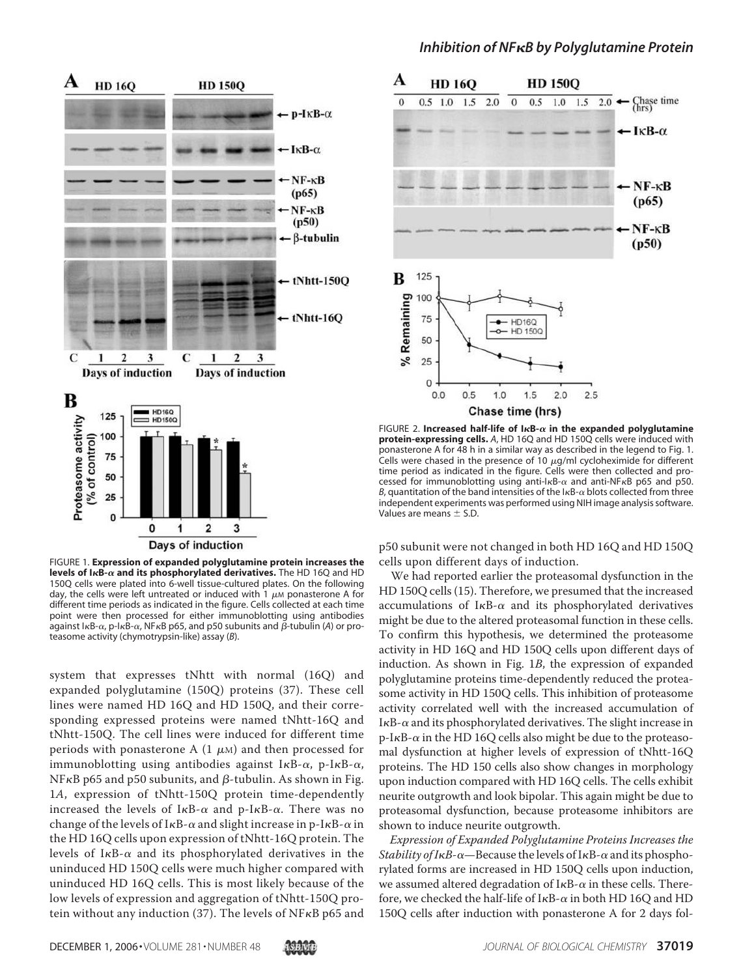

FIGURE 1. **Expression of expanded polyglutamine protein increases the levels of I<sub>K</sub>B-** $\alpha$  **and its phosphorylated derivatives.** The HD 16Q and HD 150Q cells were plated into 6-well tissue-cultured plates. On the following day, the cells were left untreated or induced with 1  $\mu$ M ponasterone A for different time periods as indicated in the figure. Cells collected at each time point were then processed for either immunoblotting using antibodies against  $I_{\kappa}$ B- $\alpha$ , p- $I_{\kappa}$ B- $\alpha$ , NF $\kappa$ B p65, and p50 subunits and  $\beta$ -tubulin (A) or proteasome activity (chymotrypsin-like) assay (*B*).

system that expresses tNhtt with normal (16Q) and expanded polyglutamine (150Q) proteins (37). These cell lines were named HD 16Q and HD 150Q, and their corresponding expressed proteins were named tNhtt-16Q and tNhtt-150Q. The cell lines were induced for different time periods with ponasterone A  $(1 \mu)$  and then processed for immunoblotting using antibodies against I $\kappa$ B- $\alpha$ , p-I $\kappa$ B- $\alpha$ ,  $NF<sub>K</sub>B$  p65 and p50 subunits, and  $\beta$ -tubulin. As shown in Fig. 1A, expression of tNhtt-150Q protein time-dependently increased the levels of I $\kappa$ B- $\alpha$  and p-I $\kappa$ B- $\alpha$ . There was no change of the levels of I $\kappa$ B- $\alpha$  and slight increase in p-I $\kappa$ B- $\alpha$  in the HD 16Q cells upon expression of tNhtt-16Q protein. The levels of I $\kappa$ B- $\alpha$  and its phosphorylated derivatives in the uninduced HD 150Q cells were much higher compared with uninduced HD 16Q cells. This is most likely because of the low levels of expression and aggregation of tNhtt-150Q protein without any induction (37). The levels of NF $\kappa$ B p65 and

#### *Inhibition of NFB by Polyglutamine Protein*



FIGURE 2. Increased half-life of l $\kappa$ B- $\alpha$  in the expanded polyglutamine **protein-expressing cells.** *A*, HD 16Q and HD 150Q cells were induced with ponasterone A for 48 h in a similar way as described in the legend to Fig. 1. Cells were chased in the presence of 10  $\mu$ g/ml cycloheximide for different time period as indicated in the figure. Cells were then collected and processed for immunoblotting using anti-l $\kappa$ B- $\alpha$  and anti-NF $\kappa$ B p65 and p50. B, quantitation of the band intensities of the  $1\kappa$ B- $\alpha$  blots collected from three independent experiments was performed using NIH image analysis software. Values are means  $\pm$  S.D.

p50 subunit were not changed in both HD 16Q and HD 150Q cells upon different days of induction.

We had reported earlier the proteasomal dysfunction in the HD 150Q cells (15). Therefore, we presumed that the increased accumulations of I $\kappa$ B- $\alpha$  and its phosphorylated derivatives might be due to the altered proteasomal function in these cells. To confirm this hypothesis, we determined the proteasome activity in HD 16Q and HD 150Q cells upon different days of induction. As shown in Fig. 1B, the expression of expanded polyglutamine proteins time-dependently reduced the proteasome activity in HD 150Q cells. This inhibition of proteasome activity correlated well with the increased accumulation of I $\kappa$ B- $\alpha$  and its phosphorylated derivatives. The slight increase in p-I $\kappa$ B- $\alpha$  in the HD 16Q cells also might be due to the proteasomal dysfunction at higher levels of expression of tNhtt-16Q proteins. The HD 150 cells also show changes in morphology upon induction compared with HD 16Q cells. The cells exhibit neurite outgrowth and look bipolar. This again might be due to proteasomal dysfunction, because proteasome inhibitors are shown to induce neurite outgrowth.

Expression of Expanded Polyglutamine Proteins Increases the Stability of IKB- $\alpha$ —Because the levels of IKB- $\alpha$  and its phosphorylated forms are increased in HD 150Q cells upon induction, we assumed altered degradation of I $\kappa$ B- $\alpha$  in these cells. Therefore, we checked the half-life of I $\kappa$ B- $\alpha$  in both HD 16Q and HD 150Q cells after induction with ponasterone A for 2 days fol-

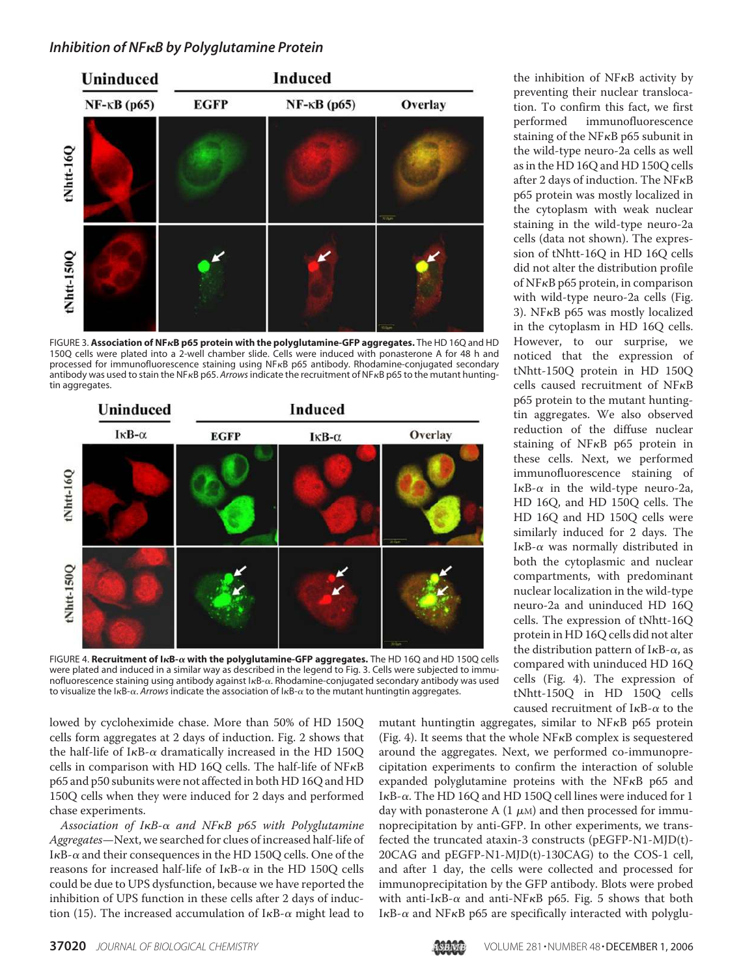

FIGURE 3. **Association of NFB p65 protein with the polyglutamine-GFP aggregates.** The HD 16Q and HD 150Q cells were plated into a 2-well chamber slide. Cells were induced with ponasterone A for 48 h and processed for immunofluorescence staining using NF<sub>KB</sub> p65 antibody. Rhodamine-conjugated secondary antibody was used to stain the NF<sub>K</sub>B p65. Arrows indicate the recruitment of NF<sub>K</sub>B p65 to the mutant huntingtin aggregates.



FIGURE 4. Recruitment of I<sub>K</sub>B- $\alpha$  with the polyglutamine-GFP aggregates. The HD 16Q and HD 150Q cells were plated and induced in a similar way as described in the legend to Fig. 3. Cells were subjected to immunofluorescence staining using antibody against l<sub>KB- $\alpha$ </sub>. Rhodamine-conjugated secondary antibody was used to visualize the I<sub>K</sub>B- $\alpha$ . Arrows indicate the association of I<sub>K</sub>B- $\alpha$  to the mutant huntingtin aggregates.

lowed by cycloheximide chase. More than 50% of HD 150Q cells form aggregates at 2 days of induction. Fig. 2 shows that the half-life of I $\kappa$ B- $\alpha$  dramatically increased in the HD 150Q cells in comparison with HD 16Q cells. The half-life of  $N F<sub>K</sub>B$ p65 and p50 subunits were not affected in both HD 16Q and HD 150Q cells when they were induced for 2 days and performed chase experiments.

Association of I $\kappa$ B- $\alpha$  and NF $\kappa$ B p65 with Polyglutamine Aggregates—Next, we searched for clues of increased half-life of I $\kappa$ B- $\alpha$  and their consequences in the HD 150Q cells. One of the reasons for increased half-life of I $\kappa$ B- $\alpha$  in the HD 150Q cells could be due to UPS dysfunction, because we have reported the inhibition of UPS function in these cells after 2 days of induction (15). The increased accumulation of  $I\kappa B$ - $\alpha$  might lead to

the inhibition of  $NFRB$  activity by preventing their nuclear translocation. To confirm this fact, we first performed immunofluorescence staining of the NF $\kappa$ B p65 subunit in the wild-type neuro-2a cells as well as in the HD 16Q and HD 150Q cells after 2 days of induction. The  $NFKB$ p65 protein was mostly localized in the cytoplasm with weak nuclear staining in the wild-type neuro-2a cells (data not shown). The expression of tNhtt-16Q in HD 16Q cells did not alter the distribution profile of  $N$ F $\kappa$ B p65 protein, in comparison with wild-type neuro-2a cells (Fig. 3). NF $\kappa$ B p65 was mostly localized in the cytoplasm in HD 16Q cells. However, to our surprise, we noticed that the expression of tNhtt-150Q protein in HD 150Q cells caused recruitment of  $NFRB$ p65 protein to the mutant huntingtin aggregates. We also observed reduction of the diffuse nuclear staining of NF<sub>K</sub>B p65 protein in these cells. Next, we performed immunofluorescence staining of I $\kappa$ B- $\alpha$  in the wild-type neuro-2a, HD 16Q, and HD 150Q cells. The HD 16Q and HD 150Q cells were similarly induced for 2 days. The I $\kappa$ B- $\alpha$  was normally distributed in both the cytoplasmic and nuclear compartments, with predominant nuclear localization in the wild-type neuro-2a and uninduced HD 16Q cells. The expression of tNhtt-16Q protein in HD 16Q cells did not alter the distribution pattern of I $\kappa$ B- $\alpha$ , as compared with uninduced HD 16Q cells (Fig. 4). The expression of tNhtt-150Q in HD 150Q cells caused recruitment of  $I\kappa B$ - $\alpha$  to the

mutant huntingtin aggregates, similar to  $NFRB$  p65 protein (Fig. 4). It seems that the whole  $NFKB$  complex is sequestered around the aggregates. Next, we performed co-immunoprecipitation experiments to confirm the interaction of soluble expanded polyglutamine proteins with the NF $\kappa$ B p65 and I $\kappa$ B- $\alpha$ . The HD 16Q and HD 150Q cell lines were induced for 1 day with ponasterone A  $(1 \mu)$  and then processed for immunoprecipitation by anti-GFP. In other experiments, we transfected the truncated ataxin-3 constructs (pEGFP-N1-MJD(t)- 20CAG and pEGFP-N1-MJD(t)-130CAG) to the COS-1 cell, and after 1 day, the cells were collected and processed for immunoprecipitation by the GFP antibody. Blots were probed with anti-I $\kappa$ B- $\alpha$  and anti-NF $\kappa$ B p65. Fig. 5 shows that both  $I$ <sub>K</sub>B- $\alpha$  and NF<sub>K</sub>B p65 are specifically interacted with polyglu-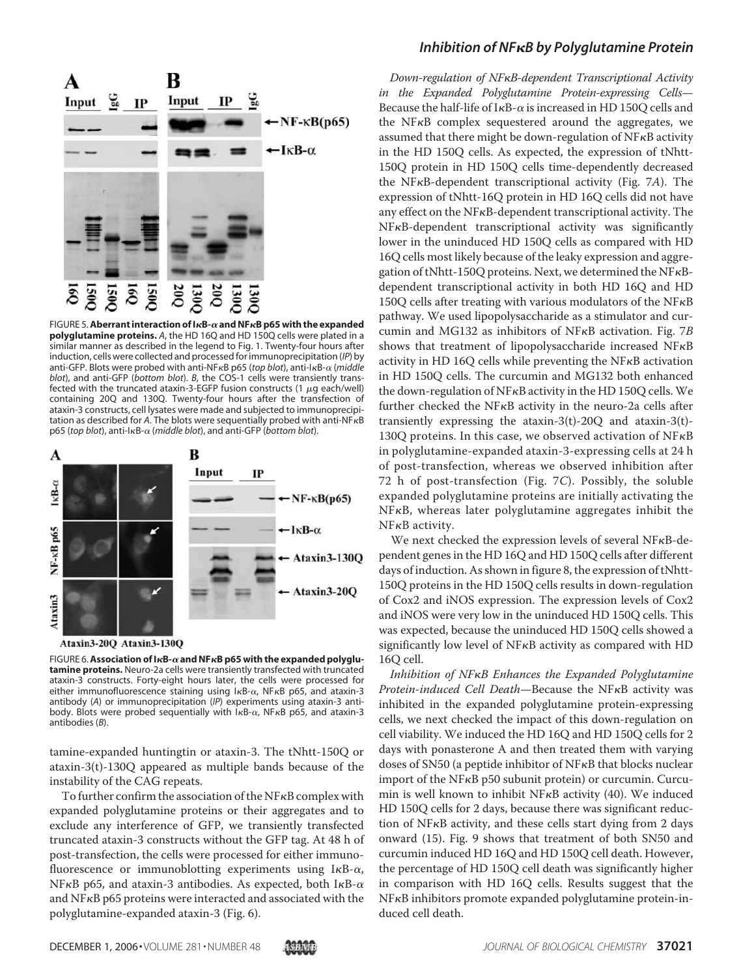

**FIGURE 5. Aberrant interaction of I***κ***B-** $\alpha$  **and NF***κ***B p65 with the expanded polyglutamine proteins.** *A*, the HD 16Q and HD 150Q cells were plated in a similar manner as described in the legend to Fig. 1. Twenty-four hours after induction, cells were collected and processed for immunoprecipitation (*IP*) by anti-GFP. Blots were probed with anti-NF<sub>K</sub>B p65 (top blot), anti-I<sub>K</sub>B- $\alpha$  (*middle blot*), and anti-GFP (*bottom blot*). *B*, the COS-1 cells were transiently transfected with the truncated ataxin-3-EGFP fusion constructs (1  $\mu$ g each/well) containing 20Q and 130Q. Twenty-four hours after the transfection of ataxin-3 constructs, cell lysates were made and subjected to immunoprecipitation as described for A. The blots were sequentially probed with anti-NF<sub>K</sub>B p65 (*top blot*), anti-l<sub>K</sub>B-α (*middle blot*), and anti-GFP (*bottom blot*).



Ataxin3-20Q Ataxin3-130Q

FIGURE 6. Association of I*k*B- $\alpha$  and NF*k*B p65 with the expanded polyglu**tamine proteins.** Neuro-2a cells were transiently transfected with truncated ataxin-3 constructs. Forty-eight hours later, the cells were processed for either immunofluorescence staining using  $kB-\alpha$ , NF $\kappa$ B p65, and ataxin-3 antibody (*A*) or immunoprecipitation (*IP*) experiments using ataxin-3 antibody. Blots were probed sequentially with  $kB-\alpha$ , NF $\kappa$ B p65, and ataxin-3 antibodies (*B*).

tamine-expanded huntingtin or ataxin-3. The tNhtt-150Q or ataxin-3(t)-130Q appeared as multiple bands because of the instability of the CAG repeats.

To further confirm the association of the NF $\kappa$ B complex with expanded polyglutamine proteins or their aggregates and to exclude any interference of GFP, we transiently transfected truncated ataxin-3 constructs without the GFP tag. At 48 h of post-transfection, the cells were processed for either immunofluorescence or immunoblotting experiments using  $I\kappa B-\alpha$ , NF $\kappa$ B p65, and ataxin-3 antibodies. As expected, both I $\kappa$ B- $\alpha$ and NF<sub>K</sub>B p65 proteins were interacted and associated with the polyglutamine-expanded ataxin-3 (Fig. 6).

#### *Inhibition of NFB by Polyglutamine Protein*

Down-regulation of NF<sub>K</sub>B-dependent Transcriptional Activity in the Expanded Polyglutamine Protein-expressing Cells— Because the half-life of I $\kappa$ B- $\alpha$  is increased in HD 150Q cells and the  $NF<sub>κ</sub>B$  complex sequestered around the aggregates, we assumed that there might be down-regulation of  $NFKB$  activity in the HD 150Q cells. As expected, the expression of tNhtt-150Q protein in HD 150Q cells time-dependently decreased the NF $\kappa$ B-dependent transcriptional activity (Fig. 7A). The expression of tNhtt-16Q protein in HD 16Q cells did not have any effect on the  $NF<sub>\kappa</sub>B$ -dependent transcriptional activity. The NF<sub>K</sub>B-dependent transcriptional activity was significantly lower in the uninduced HD 150Q cells as compared with HD 16Q cells most likely because of the leaky expression and aggregation of tNhtt-150Q proteins. Next, we determined the NF $\kappa$ Bdependent transcriptional activity in both HD 16Q and HD 150Q cells after treating with various modulators of the  $NFRB$ pathway. We used lipopolysaccharide as a stimulator and curcumin and MG132 as inhibitors of NF $\kappa$ B activation. Fig. 7B shows that treatment of lipopolysaccharide increased  $NFRB$ activity in HD 16Q cells while preventing the  $NFRB$  activation in HD 150Q cells. The curcumin and MG132 both enhanced the down-regulation of  $N$ F $\kappa$ B activity in the HD 150Q cells. We further checked the NF $\kappa$ B activity in the neuro-2a cells after transiently expressing the ataxin-3(t)-20Q and ataxin-3(t)- 130Q proteins. In this case, we observed activation of  $NFRB$ in polyglutamine-expanded ataxin-3-expressing cells at 24 h of post-transfection, whereas we observed inhibition after 72 h of post-transfection (Fig. 7C). Possibly, the soluble expanded polyglutamine proteins are initially activating the  $NF<sub>κ</sub>B$ , whereas later polyglutamine aggregates inhibit the NF<sub>K</sub>B activity.

We next checked the expression levels of several NFKB-dependent genes in the HD 16Q and HD 150Q cells after different days of induction. As shown in figure 8, the expression of tNhtt-150Q proteins in the HD 150Q cells results in down-regulation of Cox2 and iNOS expression. The expression levels of Cox2 and iNOS were very low in the uninduced HD 150Q cells. This was expected, because the uninduced HD 150Q cells showed a significantly low level of  $NFRB$  activity as compared with HD 16Q cell.

Inhibition of NFKB Enhances the Expanded Polyglutamine Protein-induced Cell Death-Because the NF<sub>K</sub>B activity was inhibited in the expanded polyglutamine protein-expressing cells, we next checked the impact of this down-regulation on cell viability. We induced the HD 16Q and HD 150Q cells for 2 days with ponasterone A and then treated them with varying doses of SN50 (a peptide inhibitor of  $N$ F $\kappa$ B that blocks nuclear import of the NFKB p50 subunit protein) or curcumin. Curcumin is well known to inhibit  $NFRB$  activity (40). We induced HD 150Q cells for 2 days, because there was significant reduction of  $NF<sub>K</sub>B$  activity, and these cells start dying from 2 days onward (15). Fig. 9 shows that treatment of both SN50 and curcumin induced HD 16Q and HD 150Q cell death. However, the percentage of HD 150Q cell death was significantly higher in comparison with HD 16Q cells. Results suggest that the NF<sub>K</sub>B inhibitors promote expanded polyglutamine protein-induced cell death.

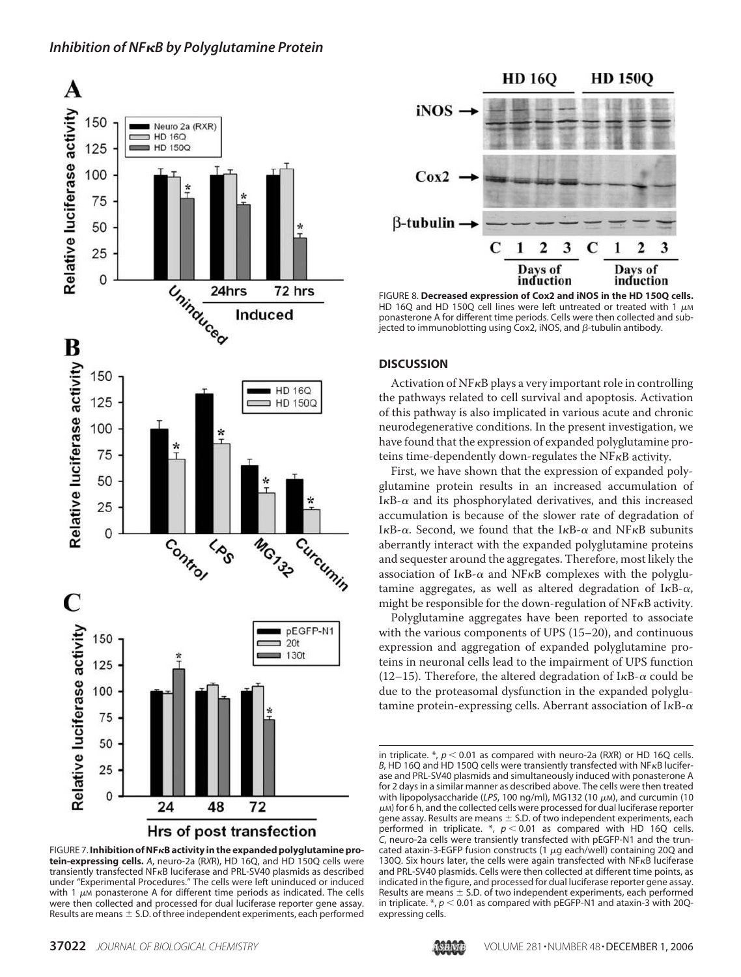





FIGURE 8. **Decreased expression of Cox2 and iNOS in the HD 150Q cells.** HD 16Q and HD 150Q cell lines were left untreated or treated with 1  $\mu$ M ponasterone A for different time periods. Cells were then collected and subjected to immunoblotting using Cox2, iNOS, and  $\beta$ -tubulin antibody.

#### **DISCUSSION**

Activation of  $N$ F $\kappa$ B plays a very important role in controlling the pathways related to cell survival and apoptosis. Activation of this pathway is also implicated in various acute and chronic neurodegenerative conditions. In the present investigation, we have found that the expression of expanded polyglutamine proteins time-dependently down-regulates the NF $\kappa$ B activity.

First, we have shown that the expression of expanded polyglutamine protein results in an increased accumulation of I $\kappa$ B- $\alpha$  and its phosphorylated derivatives, and this increased accumulation is because of the slower rate of degradation of I $\kappa$ B- $\alpha$ . Second, we found that the I $\kappa$ B- $\alpha$  and NF $\kappa$ B subunits aberrantly interact with the expanded polyglutamine proteins and sequester around the aggregates. Therefore, most likely the association of  $I\kappa B$ - $\alpha$  and NF $\kappa B$  complexes with the polyglutamine aggregates, as well as altered degradation of I $\kappa$ B- $\alpha$ , might be responsible for the down-regulation of  $NF\kappa B$  activity.

Polyglutamine aggregates have been reported to associate with the various components of UPS (15–20), and continuous expression and aggregation of expanded polyglutamine proteins in neuronal cells lead to the impairment of UPS function (12-15). Therefore, the altered degradation of  $I\kappa B$ - $\alpha$  could be due to the proteasomal dysfunction in the expanded polyglutamine protein-expressing cells. Aberrant association of I $\kappa$ B- $\alpha$ 



in triplicate.  $*$ ,  $p < 0.01$  as compared with neuro-2a (RXR) or HD 16Q cells. B, HD 16Q and HD 150Q cells were transiently transfected with NF<sub>K</sub>B luciferase and PRL-SV40 plasmids and simultaneously induced with ponasterone A for 2 days in a similar manner as described above. The cells were then treated with lipopolysaccharide (LPS, 100 ng/ml), MG132 (10 μM), and curcumin (10  $\mu$ M) for 6 h, and the collected cells were processed for dual luciferase reporter gene assay. Results are means  $\pm$  S.D. of two independent experiments, each performed in triplicate.  $*$ ,  $p < 0.01$  as compared with HD 16Q cells. *C*, neuro-2a cells were transiently transfected with pEGFP-N1 and the truncated ataxin-3-EGFP fusion constructs (1  $\mu$ g each/well) containing 20Q and 130Q. Six hours later, the cells were again transfected with  $N$ F $\kappa$ B luciferase and PRL-SV40 plasmids. Cells were then collected at different time points, as indicated in the figure, and processed for dual luciferase reporter gene assay. Results are means  $\pm$  S.D. of two independent experiments, each performed in triplicate.  $*$ ,  $p < 0.01$  as compared with pEGFP-N1 and ataxin-3 with 20Qexpressing cells.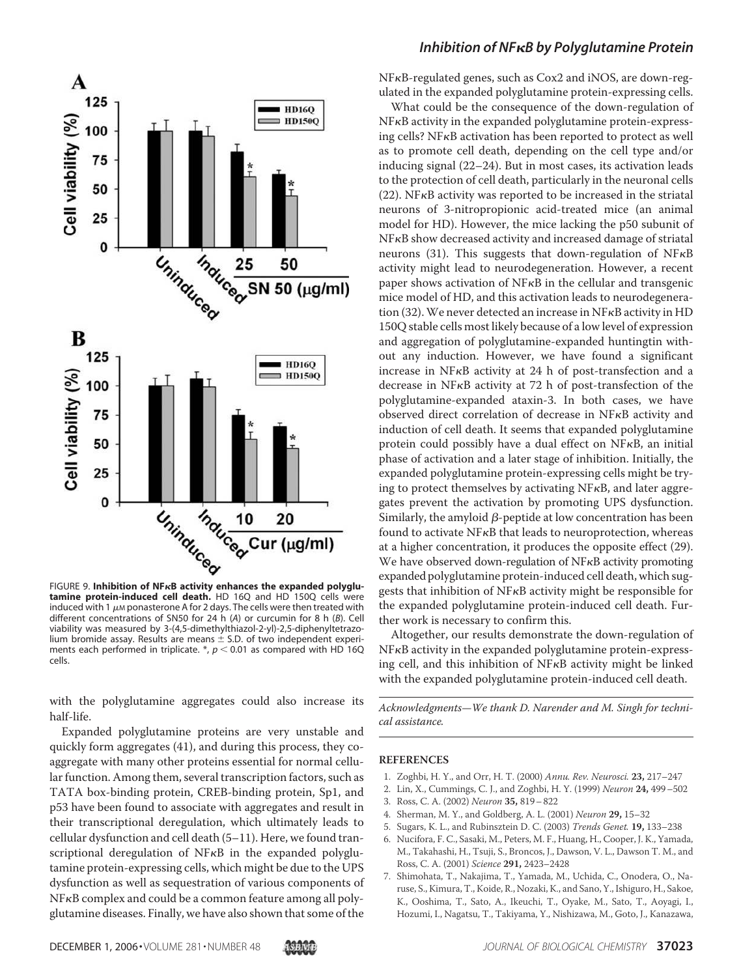

**tamine protein-induced cell death.** HD 16Q and HD 150Q cells were induced with 1  $\mu$ M ponasterone A for 2 days. The cells were then treated with different concentrations of SN50 for 24 h (*A*) or curcumin for8h(*B*). Cell viability was measured by 3-(4,5-dimethylthiazol-2-yl)-2,5-diphenyltetrazolium bromide assay. Results are means  $\pm$  S.D. of two independent experiments each performed in triplicate.  $*, p < 0.01$  as compared with HD 16Q cells.

with the polyglutamine aggregates could also increase its half-life.

Expanded polyglutamine proteins are very unstable and quickly form aggregates (41), and during this process, they coaggregate with many other proteins essential for normal cellular function. Among them, several transcription factors, such as TATA box-binding protein, CREB-binding protein, Sp1, and p53 have been found to associate with aggregates and result in their transcriptional deregulation, which ultimately leads to cellular dysfunction and cell death (5–11). Here, we found transcriptional deregulation of  $N$ F $\kappa$ B in the expanded polyglutamine protein-expressing cells, which might be due to the UPS dysfunction as well as sequestration of various components of NF<sub>K</sub>B complex and could be a common feature among all polyglutamine diseases. Finally, we have also shown that some of the

#### *Inhibition of NFB by Polyglutamine Protein*

NF<sub>K</sub>B-regulated genes, such as Cox2 and iNOS, are down-regulated in the expanded polyglutamine protein-expressing cells.

What could be the consequence of the down-regulation of NF<sub>K</sub>B activity in the expanded polyglutamine protein-expressing cells?  $NFKB$  activation has been reported to protect as well as to promote cell death, depending on the cell type and/or inducing signal (22–24). But in most cases, its activation leads to the protection of cell death, particularly in the neuronal cells  $(22)$ . NF $\kappa$ B activity was reported to be increased in the striatal neurons of 3-nitropropionic acid-treated mice (an animal model for HD). However, the mice lacking the p50 subunit of NF<sub>K</sub>B show decreased activity and increased damage of striatal neurons  $(31)$ . This suggests that down-regulation of NF $\kappa$ B activity might lead to neurodegeneration. However, a recent paper shows activation of  $NFRB$  in the cellular and transgenic mice model of HD, and this activation leads to neurodegeneration (32). We never detected an increase in  $N$ F $\kappa$ B activity in HD 150Q stable cells most likely because of a low level of expression and aggregation of polyglutamine-expanded huntingtin without any induction. However, we have found a significant increase in  $NFRB$  activity at 24 h of post-transfection and a decrease in NF<sub>K</sub>B activity at 72 h of post-transfection of the polyglutamine-expanded ataxin-3. In both cases, we have observed direct correlation of decrease in NFKB activity and induction of cell death. It seems that expanded polyglutamine protein could possibly have a dual effect on  $NFRB$ , an initial phase of activation and a later stage of inhibition. Initially, the expanded polyglutamine protein-expressing cells might be trying to protect themselves by activating  $NFKB$ , and later aggregates prevent the activation by promoting UPS dysfunction. Similarly, the amyloid  $\beta$ -peptide at low concentration has been found to activate  $NF\kappa B$  that leads to neuroprotection, whereas at a higher concentration, it produces the opposite effect (29). We have observed down-regulation of  $NFKB$  activity promoting expanded polyglutamine protein-induced cell death, which suggests that inhibition of  $NFKB$  activity might be responsible for the expanded polyglutamine protein-induced cell death. Further work is necessary to confirm this.

Altogether, our results demonstrate the down-regulation of NF<sub>K</sub>B activity in the expanded polyglutamine protein-expressing cell, and this inhibition of  $NFRB$  activity might be linked with the expanded polyglutamine protein-induced cell death.

Acknowledgments—We thank D. Narender and M. Singh for technical assistance.

#### **REFERENCES**

- 1. Zoghbi, H. Y., and Orr, H. T. (2000) Annu. Rev. Neurosci. **23,** 217–247
- 2. Lin, X., Cummings, C. J., and Zoghbi, H. Y. (1999) Neuron **24,** 499–502
- 3. Ross, C. A. (2002) Neuron **35,** 819–822
- 4. Sherman, M. Y., and Goldberg, A. L. (2001) Neuron **29,** 15–32
- 5. Sugars, K. L., and Rubinsztein D. C. (2003) Trends Genet. **19,** 133–238
- 6. Nucifora, F. C., Sasaki, M., Peters, M. F., Huang, H., Cooper, J. K., Yamada, M., Takahashi, H., Tsuji, S., Broncos, J., Dawson, V. L., Dawson T. M., and Ross, C. A. (2001) Science **291,** 2423–2428
- 7. Shimohata, T., Nakajima, T., Yamada, M., Uchida, C., Onodera, O., Naruse, S., Kimura, T., Koide, R., Nozaki, K., and Sano, Y., Ishiguro, H., Sakoe, K., Ooshima, T., Sato, A., Ikeuchi, T., Oyake, M., Sato, T., Aoyagi, I., Hozumi, I., Nagatsu, T., Takiyama, Y., Nishizawa, M., Goto, J., Kanazawa,